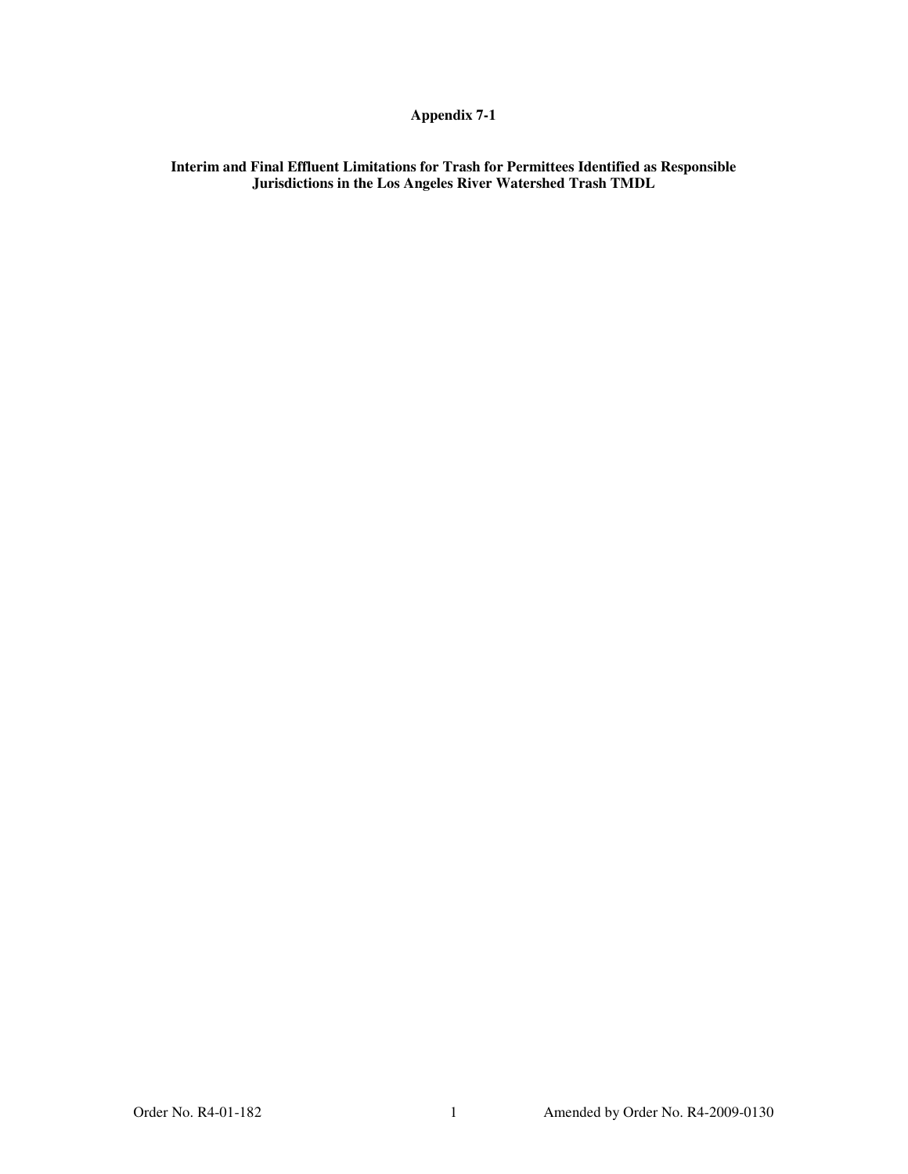## **Appendix 7-1**

**Interim and Final Effluent Limitations for Trash for Permittees Identified as Responsible Jurisdictions in the Los Angeles River Watershed Trash TMDL**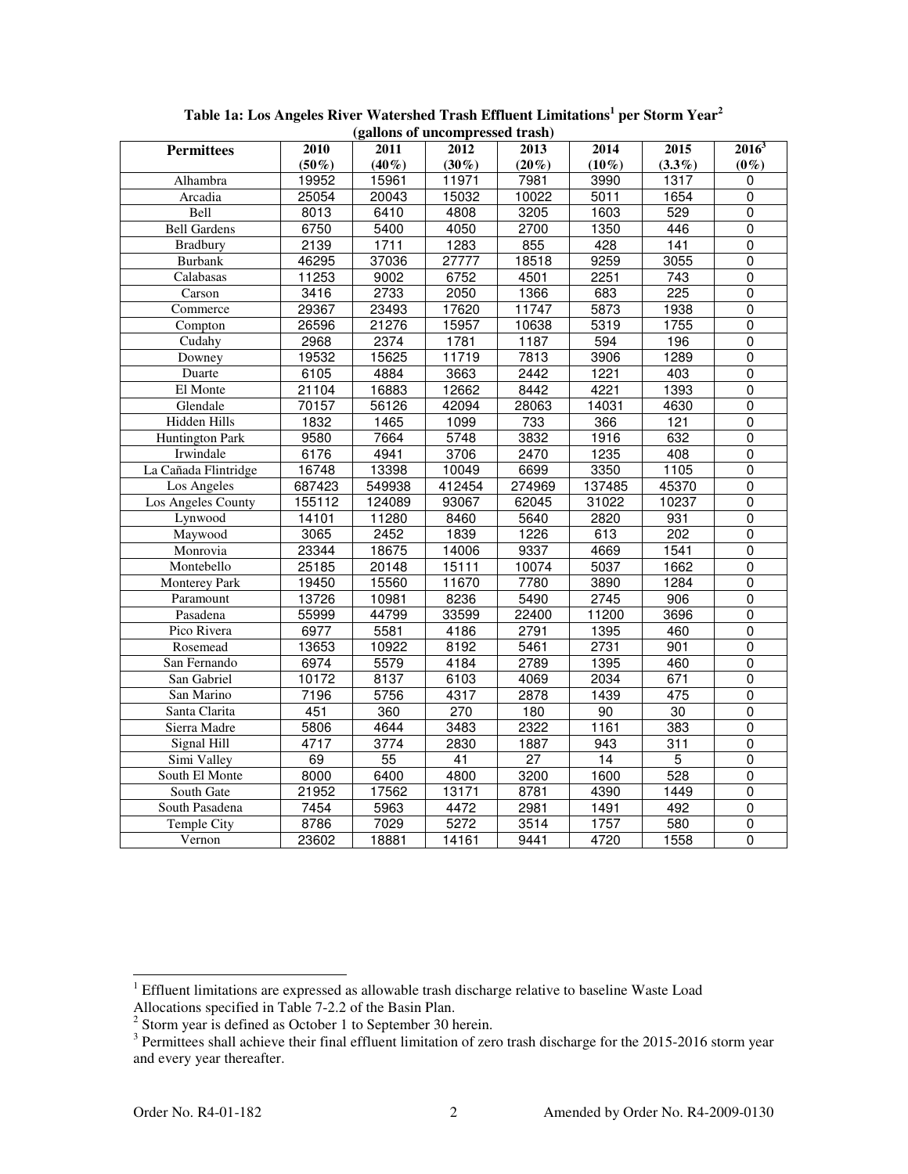| (ganons of uncompressed trash) |                  |                 |                  |                 |          |                  |                |  |  |  |  |  |
|--------------------------------|------------------|-----------------|------------------|-----------------|----------|------------------|----------------|--|--|--|--|--|
| <b>Permittees</b>              | 2010             | 2011            | 2012             | 2013            | 2014     | 2015             | $2016^3$       |  |  |  |  |  |
|                                | $(50\%)$         | $(40\%)$        | $(30\%)$         | $(20\%)$        | $(10\%)$ | $(3.3\%)$        | $(0\%)$        |  |  |  |  |  |
| Alhambra                       | 19952            | 15961           | 11971            | 7981            | 3990     | 1317             | 0              |  |  |  |  |  |
| Arcadia                        | 25054            | 20043           | 15032            | 10022           | 5011     | 1654             | $\overline{0}$ |  |  |  |  |  |
| Bell                           | 8013             | 6410            | 4808             | 3205            | 1603     | 529              | $\mathbf 0$    |  |  |  |  |  |
| <b>Bell Gardens</b>            | 6750             | 5400            | 4050             | 2700            | 1350     | 446              | $\overline{0}$ |  |  |  |  |  |
| <b>Bradbury</b>                | 2139             | 1711            | 1283             | 855             | 428      | $\frac{141}{x}$  | $\overline{0}$ |  |  |  |  |  |
| <b>Burbank</b>                 | 46295            | 37036           | 27777            | 18518           | 9259     | 3055             | $\pmb{0}$      |  |  |  |  |  |
| Calabasas                      | 11253            | 9002            | 6752             | 4501            | 2251     | $\overline{743}$ | $\overline{0}$ |  |  |  |  |  |
| Carson                         | 3416             | 2733            | 2050             | 1366            | 683      | 225              | $\overline{0}$ |  |  |  |  |  |
| Commerce                       | 29367            | 23493           | 17620            | 11747           | 5873     | 1938             | $\overline{0}$ |  |  |  |  |  |
| Compton                        | 26596            | 21276           | 15957            | 10638           | 5319     | 1755             | $\mathbf 0$    |  |  |  |  |  |
| Cudahy                         | 2968             | 2374            | 1781             | 1187            | 594      | 196              | 0              |  |  |  |  |  |
| Downey                         | 19532            | 15625           | 11719            | 7813            | 3906     | 1289             | $\pmb{0}$      |  |  |  |  |  |
| Duarte                         | 6105             | 4884            | 3663             | 2442            | 1221     | 403              | $\mathbf 0$    |  |  |  |  |  |
| El Monte                       | 21104            | 16883           | 12662            | 8442            | 4221     | 1393             | $\mathbf 0$    |  |  |  |  |  |
| Glendale                       | 70157            | 56126           | 42094            | 28063           | 14031    | 4630             | $\overline{0}$ |  |  |  |  |  |
| Hidden Hills                   | 1832             | 1465            | 1099             | 733             | 366      | 121              | $\mathbf 0$    |  |  |  |  |  |
| <b>Huntington Park</b>         | 9580             | 7664            | 5748             | 3832            | 1916     | 632              | $\mathbf 0$    |  |  |  |  |  |
| Irwindale                      | 6176             | 4941            | 3706             | $\sqrt{2470}$   | 1235     | 408              | $\overline{0}$ |  |  |  |  |  |
| La Cañada Flintridge           | 16748            | 13398           | 10049            | 6699            | 3350     | 1105             | $\mathbf 0$    |  |  |  |  |  |
| Los Angeles                    | 687423           | 549938          | 412454           | 274969          | 137485   | 45370            | $\overline{0}$ |  |  |  |  |  |
| Los Angeles County             | 155112           | 124089          | 93067            | 62045           | 31022    | 10237            | $\overline{0}$ |  |  |  |  |  |
| Lynwood                        | 14101            | 11280           | 8460             | 5640            | 2820     | 931              | 0              |  |  |  |  |  |
| Maywood                        | 3065             | 2452            | 1839             | 1226            | 613      | $\overline{202}$ | $\overline{0}$ |  |  |  |  |  |
| Monrovia                       | 23344            | 18675           | 14006            | 9337            | 4669     | 1541             | $\overline{0}$ |  |  |  |  |  |
| Montebello                     | 25185            | 20148           | 15111            | 10074           | 5037     | 1662             | 0              |  |  |  |  |  |
| <b>Monterey Park</b>           | 19450            | 15560           | 11670            | 7780            | 3890     | 1284             | $\overline{0}$ |  |  |  |  |  |
| Paramount                      | 13726            | 10981           | 8236             | 5490            | 2745     | 906              | $\overline{0}$ |  |  |  |  |  |
| Pasadena                       | 55999            | 44799           | 33599            | 22400           | 11200    | 3696             | 0              |  |  |  |  |  |
| Pico Rivera                    | 6977             | 5581            | 4186             | 2791            | 1395     | 460              | $\overline{0}$ |  |  |  |  |  |
| Rosemead                       | 13653            | 10922           | 8192             | 5461            | 2731     | 901              | $\mathbf 0$    |  |  |  |  |  |
| San Fernando                   | 6974             | 5579            | 4184             | 2789            | 1395     | 460              | $\overline{0}$ |  |  |  |  |  |
| San Gabriel                    | 10172            | 8137            | 6103             | 4069            | 2034     | 671              | $\overline{0}$ |  |  |  |  |  |
| San Marino                     | 7196             | 5756            | 4317             | 2878            | 1439     | 475              | $\overline{0}$ |  |  |  |  |  |
| Santa Clarita                  | 451              | 360             | $\overline{270}$ | 180             | 90       | $\overline{30}$  | $\overline{0}$ |  |  |  |  |  |
| Sierra Madre                   | 5806             | 4644            | 3483             | 2322            | 1161     | 383              | $\pmb{0}$      |  |  |  |  |  |
| Signal Hill                    | 4717             | 3774            | 2830             | 1887            | 943      | 311              | $\mathbf 0$    |  |  |  |  |  |
| Simi Valley                    | 69               | $\overline{55}$ | 41               | $\overline{27}$ | 14       | $\overline{5}$   | $\overline{0}$ |  |  |  |  |  |
| South El Monte                 | 8000             | 6400            | 4800             | 3200            | 1600     | 528              | $\pmb{0}$      |  |  |  |  |  |
| South Gate                     | 21952            | 17562           | 13171            | 8781            | 4390     | 1449             | $\overline{0}$ |  |  |  |  |  |
| South Pasadena                 | $\frac{1}{7454}$ | 5963            | 4472             | 2981            | 1491     | 492              | $\overline{0}$ |  |  |  |  |  |
| <b>Temple City</b>             | 8786             | 7029            | 5272             | 3514            | 1757     | 580              | $\mathbf 0$    |  |  |  |  |  |
| Vernon                         | 23602            | 18881           | 14161            | 9441            | 4720     | 1558             | $\overline{0}$ |  |  |  |  |  |

**Table 1a: Los Angeles River Watershed Trash Effluent Limitations<sup>1</sup> per Storm Year<sup>2</sup> (gallons of uncompressed trash)**

<sup>&</sup>lt;sup>1</sup> Effluent limitations are expressed as allowable trash discharge relative to baseline Waste Load

Allocations specified in Table 7-2.2 of the Basin Plan.<br><sup>2</sup> Storm year is defined as October 1 to September 30 herein.<br><sup>3</sup> Permittees shall achieve their final effluent limitation of zero trash discharge for the 2015-2016 and every year thereafter.